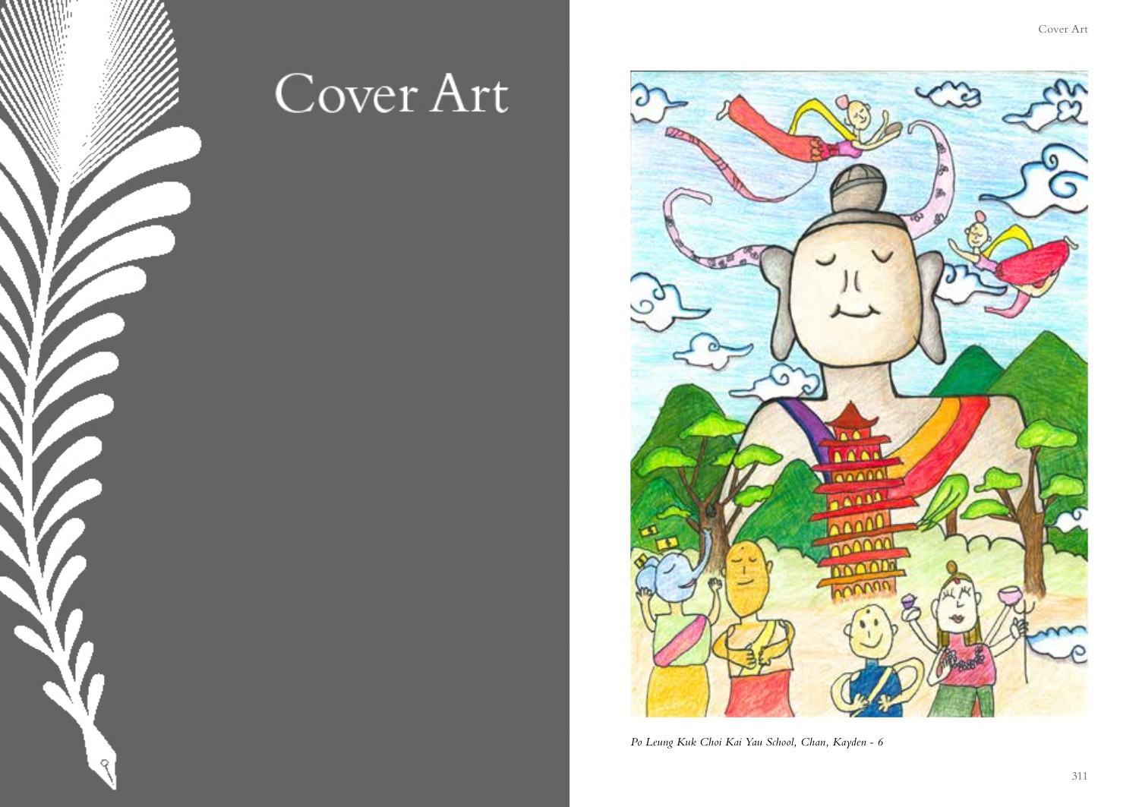

## Cover Art



*Po Leung Kuk Choi Kai Yau School, Chan, Kayden - 6*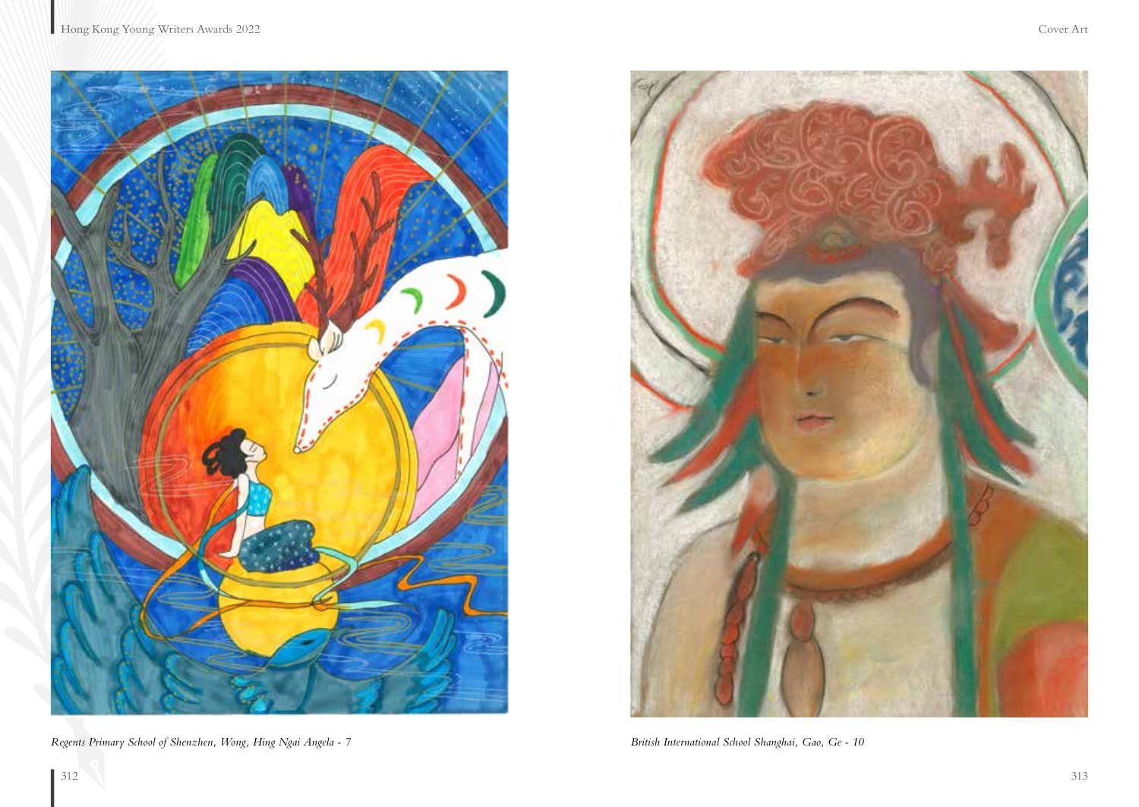

*Regents Primary School of Shenzhen, Wong, Hing Ngai Angela - 7 British International School Shanghai, Gao, Ge - 10*

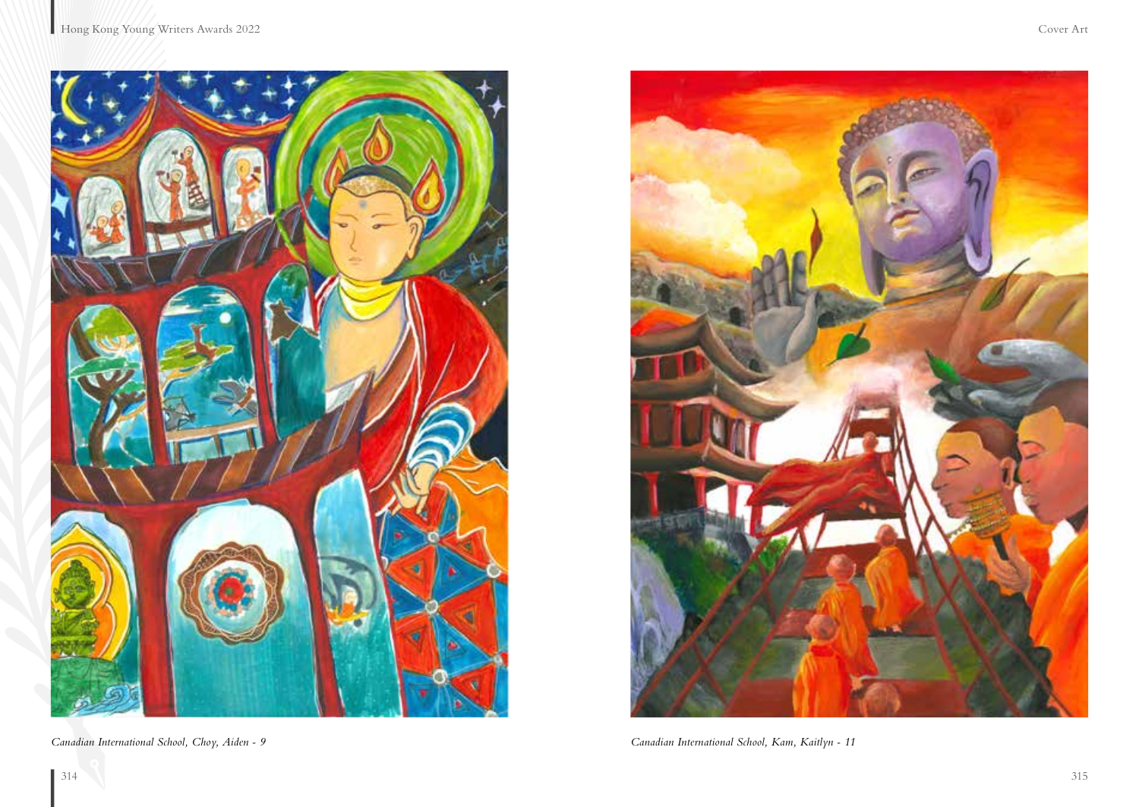



*Canadian International School, Choy, Aiden - 9 Canadian International School, Kam, Kaitlyn - 11*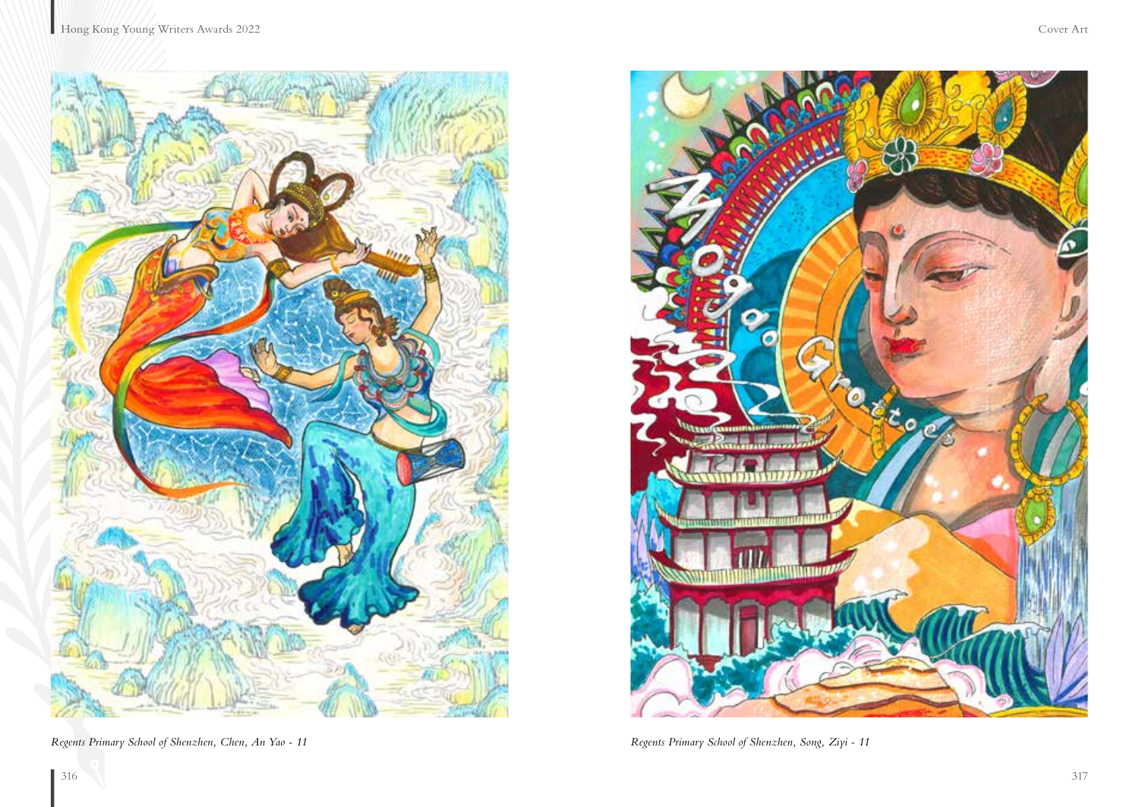



*Regents Primary School of Shenzhen, Chen, An Yao - 11 Regents Primary School of Shenzhen, Song, Ziyi - 11*

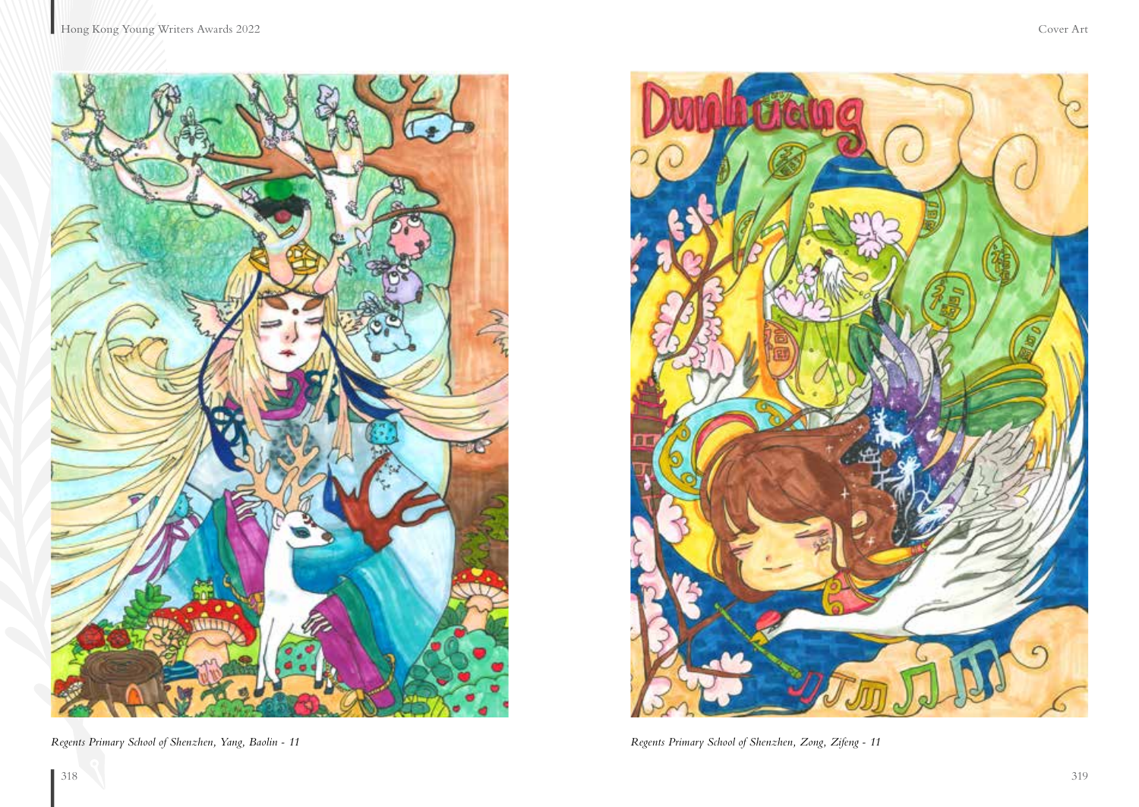

*Regents Primary School of Shenzhen, Yang, Baolin - 11 Regents Primary School of Shenzhen, Zong, Zifeng - 11*

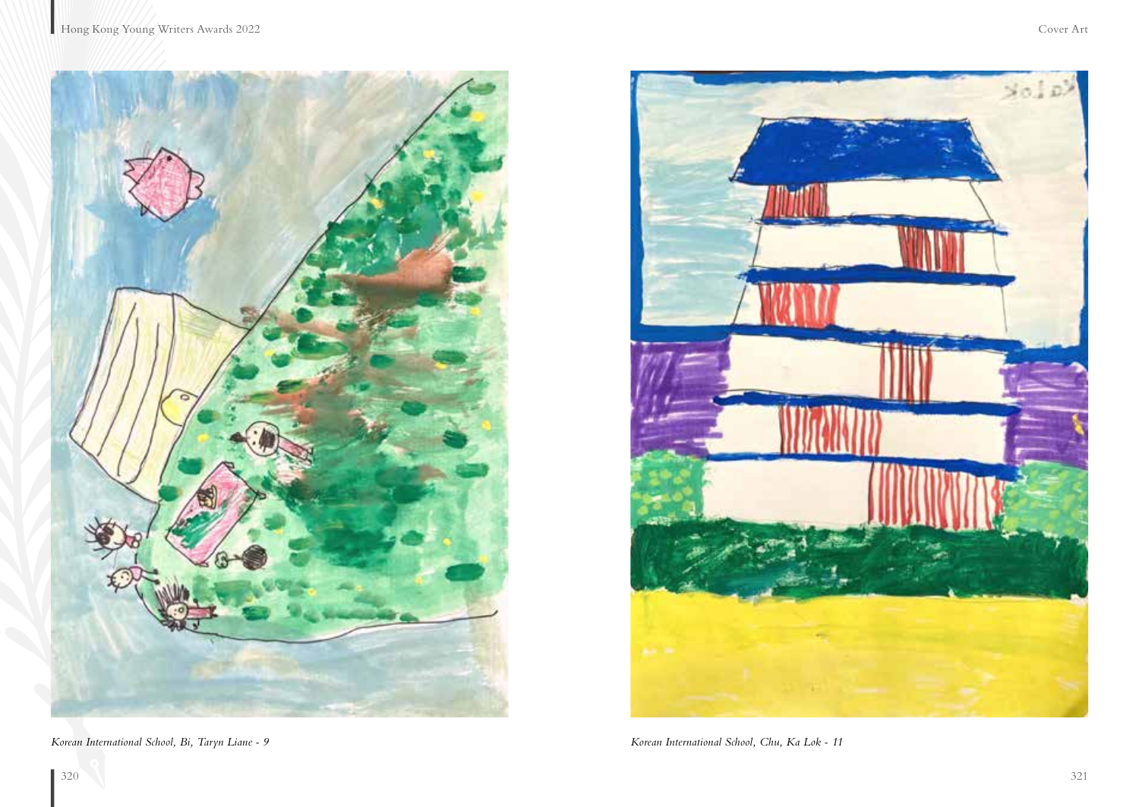

*Korean International School, Bi, Taryn Liane - 9 Korean International School, Chu, Ka Lok - 11*

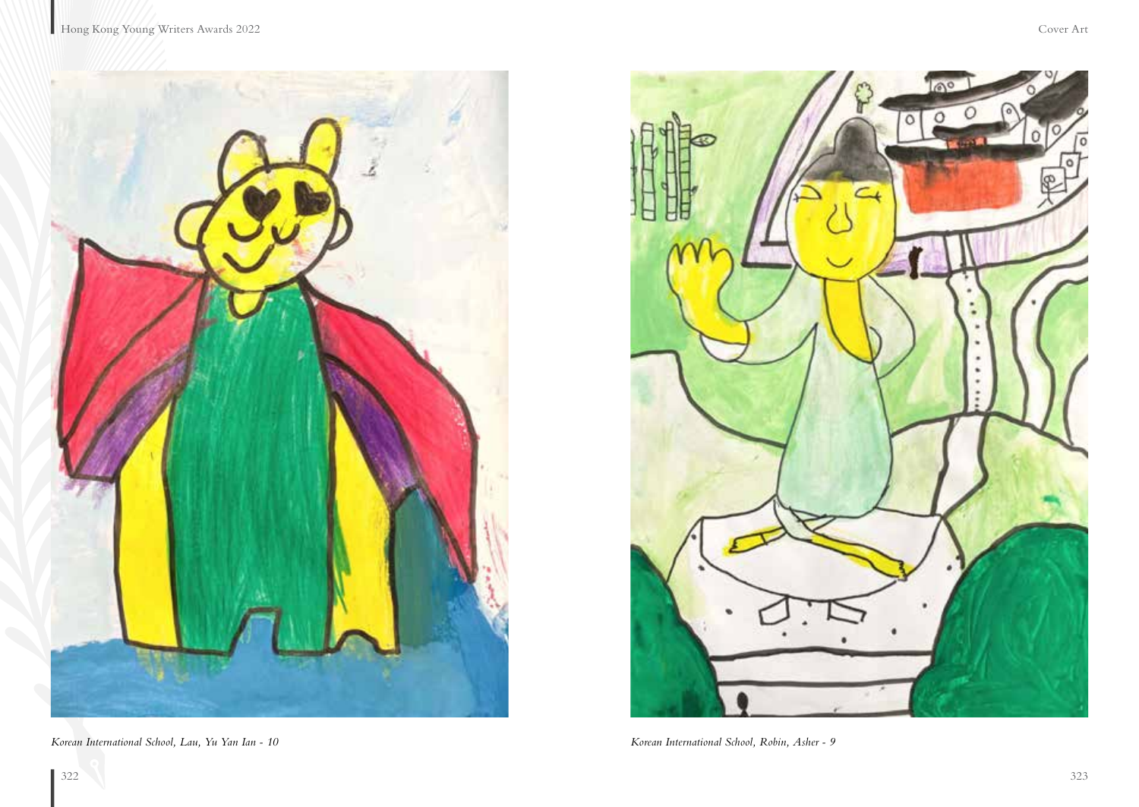

*Korean International School, Lau, Yu Yan Ian - 10 Korean International School, Robin, Asher - 9*

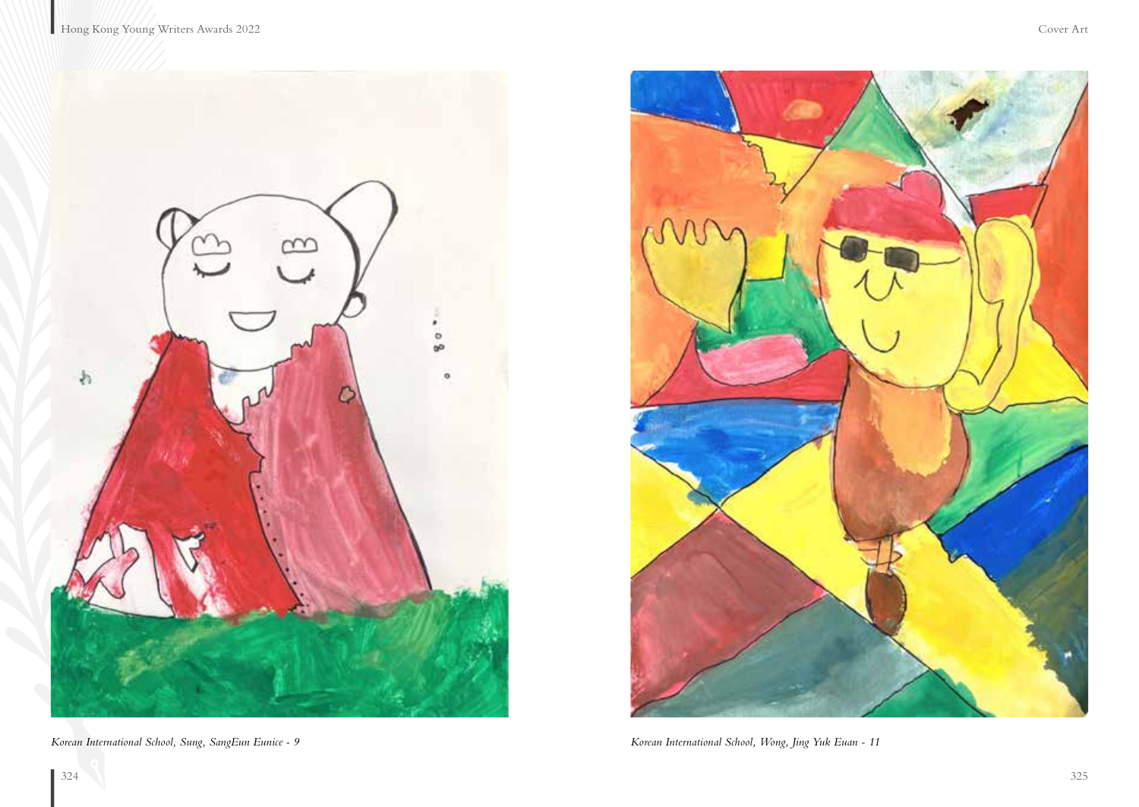



*Korean International School, Sung, SangEun Eunice - 9 Korean International School, Wong, Jing Yuk Euan - 11*